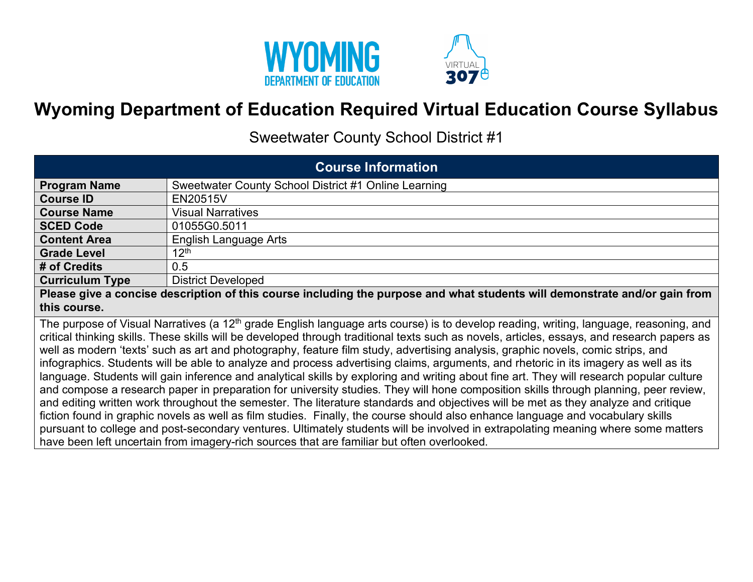

## **Wyoming Department of Education Required Virtual Education Course Syllabus**

Sweetwater County School District #1

| <b>Course Information</b>                                                                                                                                                                                                                                                                                                                                                                                                                                                                                                                                                   |                                                      |  |  |
|-----------------------------------------------------------------------------------------------------------------------------------------------------------------------------------------------------------------------------------------------------------------------------------------------------------------------------------------------------------------------------------------------------------------------------------------------------------------------------------------------------------------------------------------------------------------------------|------------------------------------------------------|--|--|
| <b>Program Name</b>                                                                                                                                                                                                                                                                                                                                                                                                                                                                                                                                                         | Sweetwater County School District #1 Online Learning |  |  |
| <b>Course ID</b>                                                                                                                                                                                                                                                                                                                                                                                                                                                                                                                                                            | <b>EN20515V</b>                                      |  |  |
| <b>Course Name</b>                                                                                                                                                                                                                                                                                                                                                                                                                                                                                                                                                          | <b>Visual Narratives</b>                             |  |  |
| <b>SCED Code</b>                                                                                                                                                                                                                                                                                                                                                                                                                                                                                                                                                            | 01055G0.5011                                         |  |  |
| <b>Content Area</b>                                                                                                                                                                                                                                                                                                                                                                                                                                                                                                                                                         | English Language Arts                                |  |  |
| <b>Grade Level</b>                                                                                                                                                                                                                                                                                                                                                                                                                                                                                                                                                          | 12 <sup>th</sup>                                     |  |  |
| # of Credits                                                                                                                                                                                                                                                                                                                                                                                                                                                                                                                                                                | 0.5                                                  |  |  |
| <b>Curriculum Type</b>                                                                                                                                                                                                                                                                                                                                                                                                                                                                                                                                                      | <b>District Developed</b>                            |  |  |
| Please give a concise description of this course including the purpose and what students will demonstrate and/or gain from                                                                                                                                                                                                                                                                                                                                                                                                                                                  |                                                      |  |  |
| this course.                                                                                                                                                                                                                                                                                                                                                                                                                                                                                                                                                                |                                                      |  |  |
| The purpose of Visual Narratives (a 12 <sup>th</sup> grade English language arts course) is to develop reading, writing, language, reasoning, and<br>critical thinking skills. These skills will be developed through traditional texts such as novels, articles, essays, and research papers as<br>well as modern 'texts' such as art and photography, feature film study, advertising analysis, graphic novels, comic strips, and<br>infographics. Students will be able to analyze and process advertising claims, arguments, and rhetoric in its imagery as well as its |                                                      |  |  |
| language. Students will gain inference and analytical skills by exploring and writing about fine art. They will research popular culture<br>and compose a research paper in preparation for university studies. They will hone composition skills through planning, peer review,                                                                                                                                                                                                                                                                                            |                                                      |  |  |
| ad adhina muhia madahaan daan ka sansais. Tha Bianima siyadanda and akka ikus mill ha mai sa ikan anakuna and adikma                                                                                                                                                                                                                                                                                                                                                                                                                                                        |                                                      |  |  |

 and editing written work throughout the semester. The literature standards and objectives will be met as they analyze and critique fiction found in graphic novels as well as film studies. Finally, the course should also enhance language and vocabulary skills pursuant to college and post-secondary ventures. Ultimately students will be involved in extrapolating meaning where some matters have been left uncertain from imagery-rich sources that are familiar but often overlooked.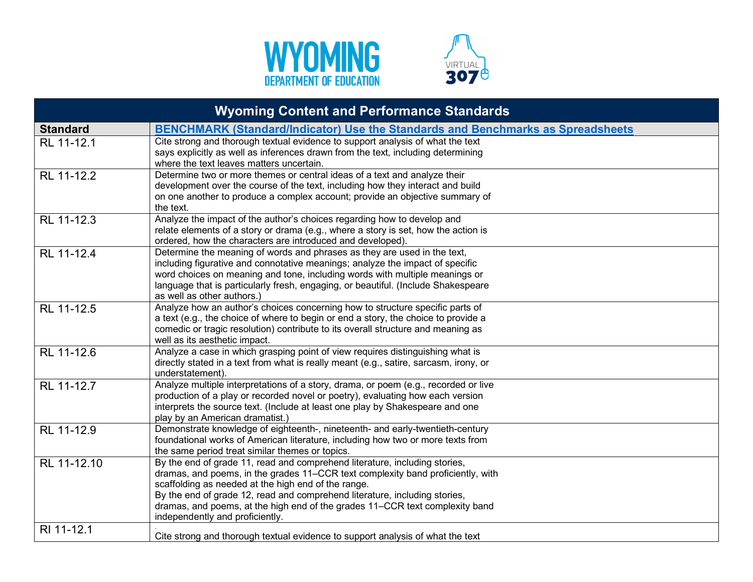



| <b>Wyoming Content and Performance Standards</b> |                                                                                        |  |
|--------------------------------------------------|----------------------------------------------------------------------------------------|--|
| <b>Standard</b>                                  | <b>BENCHMARK (Standard/Indicator) Use the Standards and Benchmarks as Spreadsheets</b> |  |
| RL 11-12.1                                       | Cite strong and thorough textual evidence to support analysis of what the text         |  |
|                                                  | says explicitly as well as inferences drawn from the text, including determining       |  |
|                                                  | where the text leaves matters uncertain.                                               |  |
| RL 11-12.2                                       | Determine two or more themes or central ideas of a text and analyze their              |  |
|                                                  | development over the course of the text, including how they interact and build         |  |
|                                                  | on one another to produce a complex account; provide an objective summary of           |  |
|                                                  | the text.                                                                              |  |
| RL 11-12.3                                       | Analyze the impact of the author's choices regarding how to develop and                |  |
|                                                  | relate elements of a story or drama (e.g., where a story is set, how the action is     |  |
|                                                  | ordered, how the characters are introduced and developed).                             |  |
| RL 11-12.4                                       | Determine the meaning of words and phrases as they are used in the text,               |  |
|                                                  | including figurative and connotative meanings; analyze the impact of specific          |  |
|                                                  | word choices on meaning and tone, including words with multiple meanings or            |  |
|                                                  | language that is particularly fresh, engaging, or beautiful. (Include Shakespeare      |  |
|                                                  | as well as other authors.)                                                             |  |
| RL 11-12.5                                       | Analyze how an author's choices concerning how to structure specific parts of          |  |
|                                                  | a text (e.g., the choice of where to begin or end a story, the choice to provide a     |  |
|                                                  | comedic or tragic resolution) contribute to its overall structure and meaning as       |  |
|                                                  | well as its aesthetic impact.                                                          |  |
| RL 11-12.6                                       | Analyze a case in which grasping point of view requires distinguishing what is         |  |
|                                                  | directly stated in a text from what is really meant (e.g., satire, sarcasm, irony, or  |  |
|                                                  | understatement).                                                                       |  |
| RL 11-12.7                                       | Analyze multiple interpretations of a story, drama, or poem (e.g., recorded or live    |  |
|                                                  | production of a play or recorded novel or poetry), evaluating how each version         |  |
|                                                  | interprets the source text. (Include at least one play by Shakespeare and one          |  |
|                                                  | play by an American dramatist.)                                                        |  |
| RL 11-12.9                                       | Demonstrate knowledge of eighteenth-, nineteenth- and early-twentieth-century          |  |
|                                                  | foundational works of American literature, including how two or more texts from        |  |
|                                                  | the same period treat similar themes or topics.                                        |  |
| RL 11-12.10                                      | By the end of grade 11, read and comprehend literature, including stories,             |  |
|                                                  | dramas, and poems, in the grades 11–CCR text complexity band proficiently, with        |  |
|                                                  | scaffolding as needed at the high end of the range.                                    |  |
|                                                  | By the end of grade 12, read and comprehend literature, including stories,             |  |
|                                                  | dramas, and poems, at the high end of the grades 11-CCR text complexity band           |  |
|                                                  | independently and proficiently.                                                        |  |
| RI 11-12.1                                       | Cite strong and thorough textual evidence to support analysis of what the text         |  |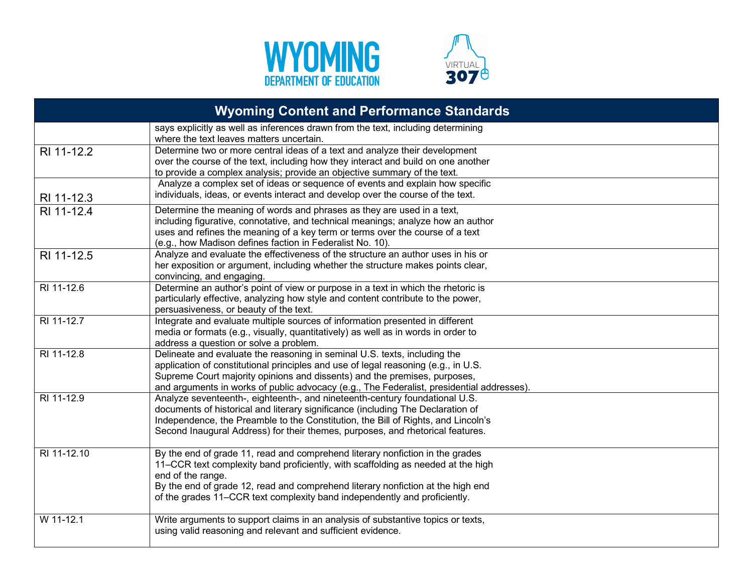



|             | <b>Wyoming Content and Performance Standards</b>                                                                                                                                                                                                                                                                                                       |
|-------------|--------------------------------------------------------------------------------------------------------------------------------------------------------------------------------------------------------------------------------------------------------------------------------------------------------------------------------------------------------|
|             | says explicitly as well as inferences drawn from the text, including determining<br>where the text leaves matters uncertain.                                                                                                                                                                                                                           |
| RI 11-12.2  | Determine two or more central ideas of a text and analyze their development<br>over the course of the text, including how they interact and build on one another<br>to provide a complex analysis; provide an objective summary of the text.                                                                                                           |
| RI 11-12.3  | Analyze a complex set of ideas or sequence of events and explain how specific<br>individuals, ideas, or events interact and develop over the course of the text.                                                                                                                                                                                       |
| RI 11-12.4  | Determine the meaning of words and phrases as they are used in a text,<br>including figurative, connotative, and technical meanings; analyze how an author<br>uses and refines the meaning of a key term or terms over the course of a text<br>(e.g., how Madison defines faction in Federalist No. 10).                                               |
| RI 11-12.5  | Analyze and evaluate the effectiveness of the structure an author uses in his or<br>her exposition or argument, including whether the structure makes points clear,<br>convincing, and engaging.                                                                                                                                                       |
| RI 11-12.6  | Determine an author's point of view or purpose in a text in which the rhetoric is<br>particularly effective, analyzing how style and content contribute to the power,<br>persuasiveness, or beauty of the text.                                                                                                                                        |
| RI 11-12.7  | Integrate and evaluate multiple sources of information presented in different<br>media or formats (e.g., visually, quantitatively) as well as in words in order to<br>address a question or solve a problem.                                                                                                                                           |
| RI 11-12.8  | Delineate and evaluate the reasoning in seminal U.S. texts, including the<br>application of constitutional principles and use of legal reasoning (e.g., in U.S.<br>Supreme Court majority opinions and dissents) and the premises, purposes,<br>and arguments in works of public advocacy (e.g., The Federalist, presidential addresses).              |
| RI 11-12.9  | Analyze seventeenth-, eighteenth-, and nineteenth-century foundational U.S.<br>documents of historical and literary significance (including The Declaration of<br>Independence, the Preamble to the Constitution, the Bill of Rights, and Lincoln's<br>Second Inaugural Address) for their themes, purposes, and rhetorical features.                  |
| RI 11-12.10 | By the end of grade 11, read and comprehend literary nonfiction in the grades<br>11–CCR text complexity band proficiently, with scaffolding as needed at the high<br>end of the range.<br>By the end of grade 12, read and comprehend literary nonfiction at the high end<br>of the grades 11–CCR text complexity band independently and proficiently. |
| W 11-12.1   | Write arguments to support claims in an analysis of substantive topics or texts,<br>using valid reasoning and relevant and sufficient evidence.                                                                                                                                                                                                        |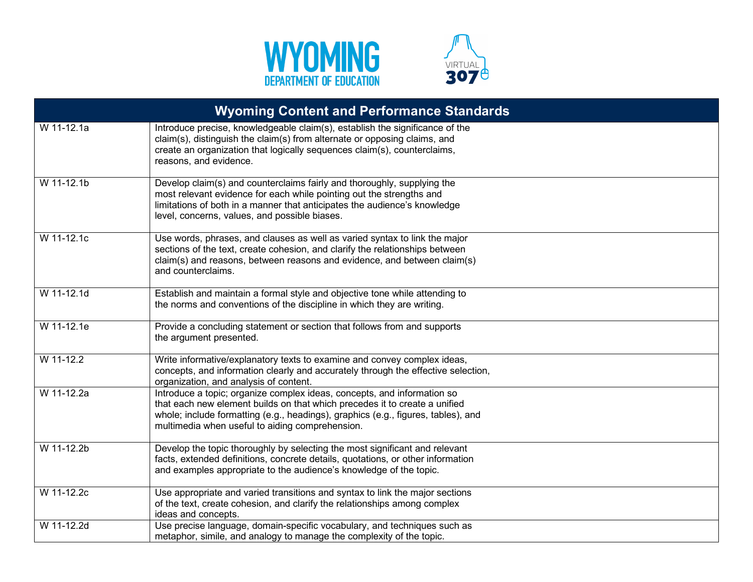



| <b>Wyoming Content and Performance Standards</b> |                                                                                                                                                                                                                                                                                               |  |
|--------------------------------------------------|-----------------------------------------------------------------------------------------------------------------------------------------------------------------------------------------------------------------------------------------------------------------------------------------------|--|
| W 11-12.1a                                       | Introduce precise, knowledgeable claim(s), establish the significance of the<br>claim(s), distinguish the claim(s) from alternate or opposing claims, and<br>create an organization that logically sequences claim(s), counterclaims,<br>reasons, and evidence.                               |  |
| W 11-12.1b                                       | Develop claim(s) and counterclaims fairly and thoroughly, supplying the<br>most relevant evidence for each while pointing out the strengths and<br>limitations of both in a manner that anticipates the audience's knowledge<br>level, concerns, values, and possible biases.                 |  |
| W 11-12.1c                                       | Use words, phrases, and clauses as well as varied syntax to link the major<br>sections of the text, create cohesion, and clarify the relationships between<br>claim(s) and reasons, between reasons and evidence, and between claim(s)<br>and counterclaims.                                  |  |
| W 11-12.1d                                       | Establish and maintain a formal style and objective tone while attending to<br>the norms and conventions of the discipline in which they are writing.                                                                                                                                         |  |
| W 11-12.1e                                       | Provide a concluding statement or section that follows from and supports<br>the argument presented.                                                                                                                                                                                           |  |
| W 11-12.2                                        | Write informative/explanatory texts to examine and convey complex ideas,<br>concepts, and information clearly and accurately through the effective selection,<br>organization, and analysis of content.                                                                                       |  |
| W 11-12.2a                                       | Introduce a topic; organize complex ideas, concepts, and information so<br>that each new element builds on that which precedes it to create a unified<br>whole; include formatting (e.g., headings), graphics (e.g., figures, tables), and<br>multimedia when useful to aiding comprehension. |  |
| W 11-12.2b                                       | Develop the topic thoroughly by selecting the most significant and relevant<br>facts, extended definitions, concrete details, quotations, or other information<br>and examples appropriate to the audience's knowledge of the topic.                                                          |  |
| W 11-12.2c                                       | Use appropriate and varied transitions and syntax to link the major sections<br>of the text, create cohesion, and clarify the relationships among complex<br>ideas and concepts.                                                                                                              |  |
| W 11-12.2d                                       | Use precise language, domain-specific vocabulary, and techniques such as<br>metaphor, simile, and analogy to manage the complexity of the topic.                                                                                                                                              |  |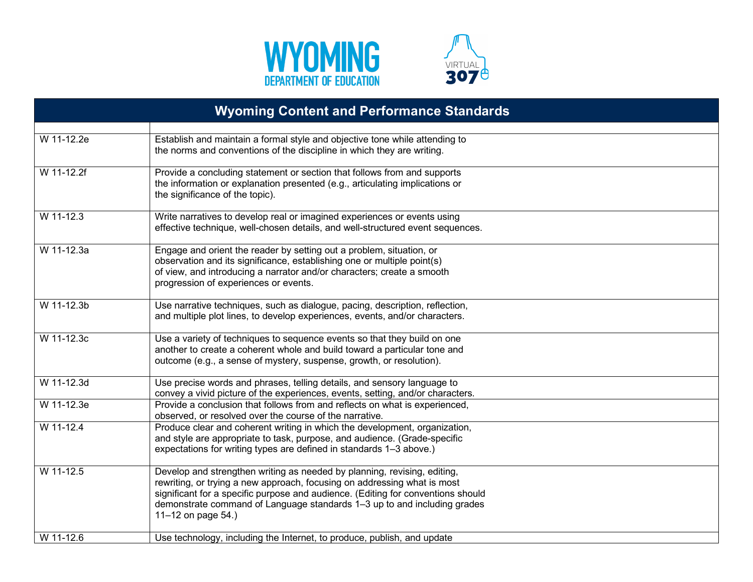



| <b>Wyoming Content and Performance Standards</b> |                                                                                                                                                                                                                                                                                                                                            |  |
|--------------------------------------------------|--------------------------------------------------------------------------------------------------------------------------------------------------------------------------------------------------------------------------------------------------------------------------------------------------------------------------------------------|--|
| W 11-12.2e                                       | Establish and maintain a formal style and objective tone while attending to<br>the norms and conventions of the discipline in which they are writing.                                                                                                                                                                                      |  |
| W 11-12.2f                                       | Provide a concluding statement or section that follows from and supports<br>the information or explanation presented (e.g., articulating implications or<br>the significance of the topic).                                                                                                                                                |  |
| W 11-12.3                                        | Write narratives to develop real or imagined experiences or events using<br>effective technique, well-chosen details, and well-structured event sequences.                                                                                                                                                                                 |  |
| W 11-12.3a                                       | Engage and orient the reader by setting out a problem, situation, or<br>observation and its significance, establishing one or multiple point(s)<br>of view, and introducing a narrator and/or characters; create a smooth<br>progression of experiences or events.                                                                         |  |
| W 11-12.3b                                       | Use narrative techniques, such as dialogue, pacing, description, reflection,<br>and multiple plot lines, to develop experiences, events, and/or characters.                                                                                                                                                                                |  |
| W 11-12.3c                                       | Use a variety of techniques to sequence events so that they build on one<br>another to create a coherent whole and build toward a particular tone and<br>outcome (e.g., a sense of mystery, suspense, growth, or resolution).                                                                                                              |  |
| W 11-12.3d                                       | Use precise words and phrases, telling details, and sensory language to<br>convey a vivid picture of the experiences, events, setting, and/or characters.                                                                                                                                                                                  |  |
| W 11-12.3e                                       | Provide a conclusion that follows from and reflects on what is experienced,<br>observed, or resolved over the course of the narrative.                                                                                                                                                                                                     |  |
| W 11-12.4                                        | Produce clear and coherent writing in which the development, organization,<br>and style are appropriate to task, purpose, and audience. (Grade-specific<br>expectations for writing types are defined in standards 1-3 above.)                                                                                                             |  |
| W 11-12.5                                        | Develop and strengthen writing as needed by planning, revising, editing,<br>rewriting, or trying a new approach, focusing on addressing what is most<br>significant for a specific purpose and audience. (Editing for conventions should<br>demonstrate command of Language standards 1-3 up to and including grades<br>11-12 on page 54.) |  |
| W 11-12.6                                        | Use technology, including the Internet, to produce, publish, and update                                                                                                                                                                                                                                                                    |  |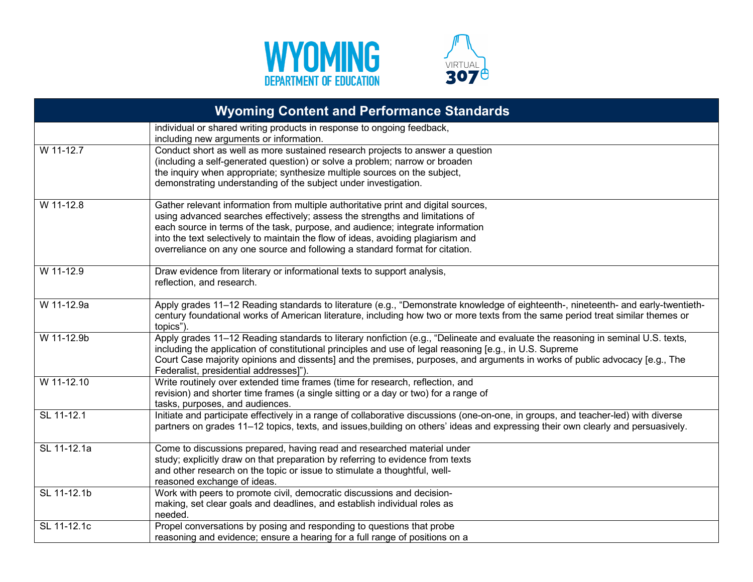



| <b>Wyoming Content and Performance Standards</b> |                                                                                                                                                                                                                                                                                                                                                                                                                          |  |
|--------------------------------------------------|--------------------------------------------------------------------------------------------------------------------------------------------------------------------------------------------------------------------------------------------------------------------------------------------------------------------------------------------------------------------------------------------------------------------------|--|
|                                                  | individual or shared writing products in response to ongoing feedback,<br>including new arguments or information.                                                                                                                                                                                                                                                                                                        |  |
| W 11-12.7                                        | Conduct short as well as more sustained research projects to answer a question<br>(including a self-generated question) or solve a problem; narrow or broaden<br>the inquiry when appropriate; synthesize multiple sources on the subject,<br>demonstrating understanding of the subject under investigation.                                                                                                            |  |
| W 11-12.8                                        | Gather relevant information from multiple authoritative print and digital sources,<br>using advanced searches effectively; assess the strengths and limitations of<br>each source in terms of the task, purpose, and audience; integrate information<br>into the text selectively to maintain the flow of ideas, avoiding plagiarism and<br>overreliance on any one source and following a standard format for citation. |  |
| W 11-12.9                                        | Draw evidence from literary or informational texts to support analysis,<br>reflection, and research.                                                                                                                                                                                                                                                                                                                     |  |
| W 11-12.9a                                       | Apply grades 11-12 Reading standards to literature (e.g., "Demonstrate knowledge of eighteenth-, nineteenth- and early-twentieth-<br>century foundational works of American literature, including how two or more texts from the same period treat similar themes or<br>topics")                                                                                                                                         |  |
| W 11-12.9b                                       | Apply grades 11–12 Reading standards to literary nonfiction (e.g., "Delineate and evaluate the reasoning in seminal U.S. texts,<br>including the application of constitutional principles and use of legal reasoning [e.g., in U.S. Supreme<br>Court Case majority opinions and dissents] and the premises, purposes, and arguments in works of public advocacy [e.g., The<br>Federalist, presidential addresses]").     |  |
| W 11-12.10                                       | Write routinely over extended time frames (time for research, reflection, and<br>revision) and shorter time frames (a single sitting or a day or two) for a range of<br>tasks, purposes, and audiences.                                                                                                                                                                                                                  |  |
| SL 11-12.1                                       | Initiate and participate effectively in a range of collaborative discussions (one-on-one, in groups, and teacher-led) with diverse<br>partners on grades 11–12 topics, texts, and issues, building on others' ideas and expressing their own clearly and persuasively.                                                                                                                                                   |  |
| SL 11-12.1a                                      | Come to discussions prepared, having read and researched material under<br>study; explicitly draw on that preparation by referring to evidence from texts<br>and other research on the topic or issue to stimulate a thoughtful, well-<br>reasoned exchange of ideas.                                                                                                                                                    |  |
| SL 11-12.1b                                      | Work with peers to promote civil, democratic discussions and decision-<br>making, set clear goals and deadlines, and establish individual roles as<br>needed.                                                                                                                                                                                                                                                            |  |
| SL 11-12.1c                                      | Propel conversations by posing and responding to questions that probe<br>reasoning and evidence; ensure a hearing for a full range of positions on a                                                                                                                                                                                                                                                                     |  |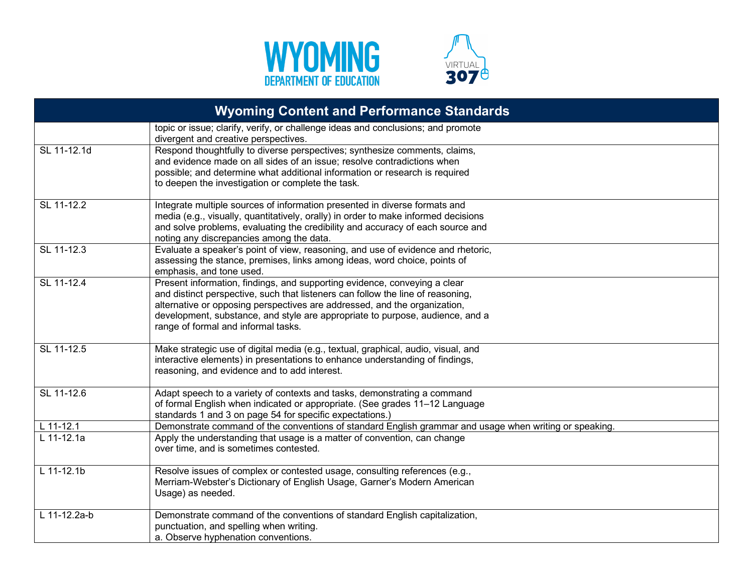



| <b>Wyoming Content and Performance Standards</b> |                                                                                                                                                                                                                                                                                                                                                                   |  |
|--------------------------------------------------|-------------------------------------------------------------------------------------------------------------------------------------------------------------------------------------------------------------------------------------------------------------------------------------------------------------------------------------------------------------------|--|
|                                                  | topic or issue; clarify, verify, or challenge ideas and conclusions; and promote<br>divergent and creative perspectives.                                                                                                                                                                                                                                          |  |
| SL 11-12.1d                                      | Respond thoughtfully to diverse perspectives; synthesize comments, claims,<br>and evidence made on all sides of an issue; resolve contradictions when<br>possible; and determine what additional information or research is required<br>to deepen the investigation or complete the task.                                                                         |  |
| SL 11-12.2                                       | Integrate multiple sources of information presented in diverse formats and<br>media (e.g., visually, quantitatively, orally) in order to make informed decisions<br>and solve problems, evaluating the credibility and accuracy of each source and<br>noting any discrepancies among the data.                                                                    |  |
| SL 11-12.3                                       | Evaluate a speaker's point of view, reasoning, and use of evidence and rhetoric,<br>assessing the stance, premises, links among ideas, word choice, points of<br>emphasis, and tone used.                                                                                                                                                                         |  |
| SL 11-12.4                                       | Present information, findings, and supporting evidence, conveying a clear<br>and distinct perspective, such that listeners can follow the line of reasoning,<br>alternative or opposing perspectives are addressed, and the organization,<br>development, substance, and style are appropriate to purpose, audience, and a<br>range of formal and informal tasks. |  |
| SL 11-12.5                                       | Make strategic use of digital media (e.g., textual, graphical, audio, visual, and<br>interactive elements) in presentations to enhance understanding of findings,<br>reasoning, and evidence and to add interest.                                                                                                                                                 |  |
| SL 11-12.6                                       | Adapt speech to a variety of contexts and tasks, demonstrating a command<br>of formal English when indicated or appropriate. (See grades 11-12 Language<br>standards 1 and 3 on page 54 for specific expectations.)                                                                                                                                               |  |
| $L$ 11-12.1                                      | Demonstrate command of the conventions of standard English grammar and usage when writing or speaking.                                                                                                                                                                                                                                                            |  |
| L 11-12.1a                                       | Apply the understanding that usage is a matter of convention, can change<br>over time, and is sometimes contested.                                                                                                                                                                                                                                                |  |
| $L$ 11-12.1b                                     | Resolve issues of complex or contested usage, consulting references (e.g.,<br>Merriam-Webster's Dictionary of English Usage, Garner's Modern American<br>Usage) as needed.                                                                                                                                                                                        |  |
| L 11-12.2a-b                                     | Demonstrate command of the conventions of standard English capitalization,<br>punctuation, and spelling when writing.<br>a. Observe hyphenation conventions.                                                                                                                                                                                                      |  |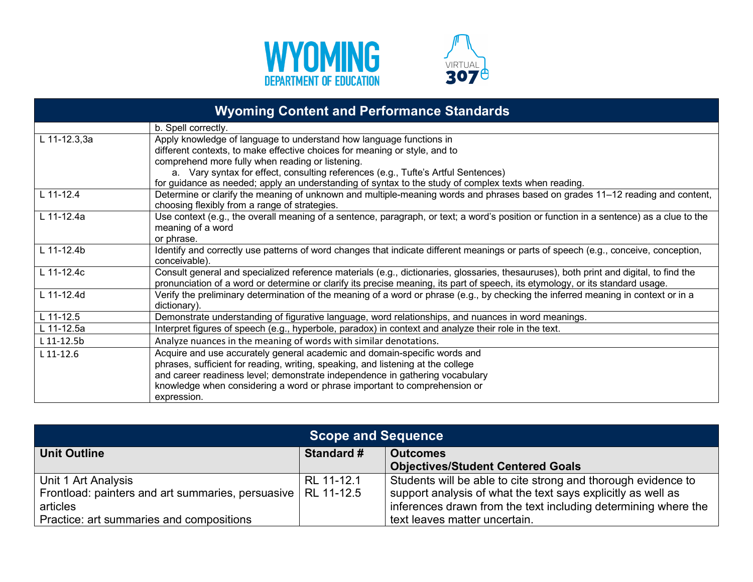



| <b>Wyoming Content and Performance Standards</b> |                                                                                                                                         |  |
|--------------------------------------------------|-----------------------------------------------------------------------------------------------------------------------------------------|--|
|                                                  | b. Spell correctly.                                                                                                                     |  |
| L 11-12.3,3a                                     | Apply knowledge of language to understand how language functions in                                                                     |  |
|                                                  | different contexts, to make effective choices for meaning or style, and to                                                              |  |
|                                                  | comprehend more fully when reading or listening.                                                                                        |  |
|                                                  | a. Vary syntax for effect, consulting references (e.g., Tufte's Artful Sentences)                                                       |  |
|                                                  | for guidance as needed; apply an understanding of syntax to the study of complex texts when reading.                                    |  |
| L 11-12.4                                        | Determine or clarify the meaning of unknown and multiple-meaning words and phrases based on grades 11-12 reading and content,           |  |
|                                                  | choosing flexibly from a range of strategies.                                                                                           |  |
| L 11-12.4a                                       | Use context (e.g., the overall meaning of a sentence, paragraph, or text; a word's position or function in a sentence) as a clue to the |  |
|                                                  | meaning of a word                                                                                                                       |  |
|                                                  | or phrase.                                                                                                                              |  |
| L 11-12.4b                                       | Identify and correctly use patterns of word changes that indicate different meanings or parts of speech (e.g., conceive, conception,    |  |
|                                                  | conceivable).                                                                                                                           |  |
| L 11-12.4c                                       | Consult general and specialized reference materials (e.g., dictionaries, glossaries, thesauruses), both print and digital, to find the  |  |
|                                                  | pronunciation of a word or determine or clarify its precise meaning, its part of speech, its etymology, or its standard usage.          |  |
| L 11-12.4d                                       | Verify the preliminary determination of the meaning of a word or phrase (e.g., by checking the inferred meaning in context or in a      |  |
|                                                  | dictionary).                                                                                                                            |  |
| $L$ 11-12.5                                      | Demonstrate understanding of figurative language, word relationships, and nuances in word meanings.                                     |  |
| L 11-12.5a                                       | Interpret figures of speech (e.g., hyperbole, paradox) in context and analyze their role in the text.                                   |  |
| L 11-12.5b                                       | Analyze nuances in the meaning of words with similar denotations.                                                                       |  |
| $L$ 11-12.6                                      | Acquire and use accurately general academic and domain-specific words and                                                               |  |
|                                                  | phrases, sufficient for reading, writing, speaking, and listening at the college                                                        |  |
|                                                  | and career readiness level; demonstrate independence in gathering vocabulary                                                            |  |
|                                                  | knowledge when considering a word or phrase important to comprehension or                                                               |  |
|                                                  | expression.                                                                                                                             |  |

| <b>Scope and Sequence</b>                                      |                   |                                                                |  |
|----------------------------------------------------------------|-------------------|----------------------------------------------------------------|--|
| <b>Unit Outline</b>                                            | <b>Standard #</b> | <b>Outcomes</b>                                                |  |
|                                                                |                   | <b>Objectives/Student Centered Goals</b>                       |  |
| Unit 1 Art Analysis                                            | RL 11-12.1        | Students will be able to cite strong and thorough evidence to  |  |
| Frontload: painters and art summaries, persuasive   RL 11-12.5 |                   | support analysis of what the text says explicitly as well as   |  |
| articles                                                       |                   | inferences drawn from the text including determining where the |  |
| Practice: art summaries and compositions                       |                   | text leaves matter uncertain.                                  |  |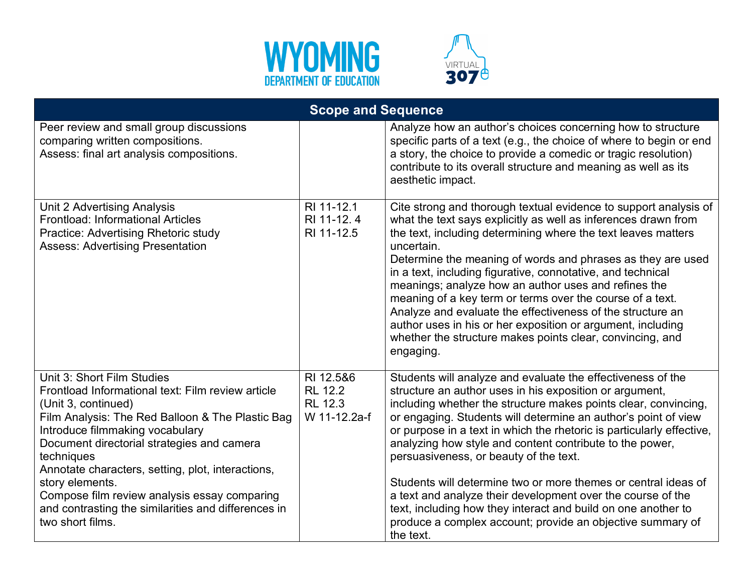



| <b>Scope and Sequence</b>                                                                                                                                                                                                                                                                                                                                                                                                                                    |                                                               |                                                                                                                                                                                                                                                                                                                                                                                                                                                                                                                                                                                                                                                                                                                         |  |
|--------------------------------------------------------------------------------------------------------------------------------------------------------------------------------------------------------------------------------------------------------------------------------------------------------------------------------------------------------------------------------------------------------------------------------------------------------------|---------------------------------------------------------------|-------------------------------------------------------------------------------------------------------------------------------------------------------------------------------------------------------------------------------------------------------------------------------------------------------------------------------------------------------------------------------------------------------------------------------------------------------------------------------------------------------------------------------------------------------------------------------------------------------------------------------------------------------------------------------------------------------------------------|--|
| Peer review and small group discussions<br>comparing written compositions.<br>Assess: final art analysis compositions.                                                                                                                                                                                                                                                                                                                                       |                                                               | Analyze how an author's choices concerning how to structure<br>specific parts of a text (e.g., the choice of where to begin or end<br>a story, the choice to provide a comedic or tragic resolution)<br>contribute to its overall structure and meaning as well as its<br>aesthetic impact.                                                                                                                                                                                                                                                                                                                                                                                                                             |  |
| Unit 2 Advertising Analysis<br><b>Frontload: Informational Articles</b><br>Practice: Advertising Rhetoric study<br><b>Assess: Advertising Presentation</b>                                                                                                                                                                                                                                                                                                   | RI 11-12.1<br>RI 11-12.4<br>RI 11-12.5                        | Cite strong and thorough textual evidence to support analysis of<br>what the text says explicitly as well as inferences drawn from<br>the text, including determining where the text leaves matters<br>uncertain.<br>Determine the meaning of words and phrases as they are used<br>in a text, including figurative, connotative, and technical<br>meanings; analyze how an author uses and refines the<br>meaning of a key term or terms over the course of a text.<br>Analyze and evaluate the effectiveness of the structure an<br>author uses in his or her exposition or argument, including<br>whether the structure makes points clear, convincing, and<br>engaging.                                             |  |
| Unit 3: Short Film Studies<br>Frontload Informational text: Film review article<br>(Unit 3, continued)<br>Film Analysis: The Red Balloon & The Plastic Bag<br>Introduce filmmaking vocabulary<br>Document directorial strategies and camera<br>techniques<br>Annotate characters, setting, plot, interactions,<br>story elements.<br>Compose film review analysis essay comparing<br>and contrasting the similarities and differences in<br>two short films. | RI 12.5&6<br><b>RL 12.2</b><br><b>RL 12.3</b><br>W 11-12.2a-f | Students will analyze and evaluate the effectiveness of the<br>structure an author uses in his exposition or argument,<br>including whether the structure makes points clear, convincing,<br>or engaging. Students will determine an author's point of view<br>or purpose in a text in which the rhetoric is particularly effective,<br>analyzing how style and content contribute to the power,<br>persuasiveness, or beauty of the text.<br>Students will determine two or more themes or central ideas of<br>a text and analyze their development over the course of the<br>text, including how they interact and build on one another to<br>produce a complex account; provide an objective summary of<br>the text. |  |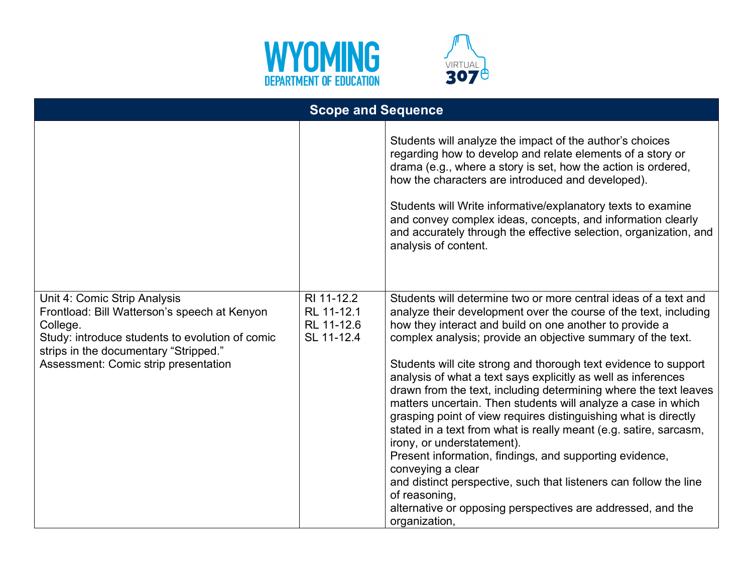



| <b>Scope and Sequence</b>                                                                                                                                                                                                    |                                                      |                                                                                                                                                                                                                                                                                                                                                                                                                                                                                                                                                                                                                                                                                                                                                                                                                                                                                                                                                                    |  |
|------------------------------------------------------------------------------------------------------------------------------------------------------------------------------------------------------------------------------|------------------------------------------------------|--------------------------------------------------------------------------------------------------------------------------------------------------------------------------------------------------------------------------------------------------------------------------------------------------------------------------------------------------------------------------------------------------------------------------------------------------------------------------------------------------------------------------------------------------------------------------------------------------------------------------------------------------------------------------------------------------------------------------------------------------------------------------------------------------------------------------------------------------------------------------------------------------------------------------------------------------------------------|--|
|                                                                                                                                                                                                                              |                                                      | Students will analyze the impact of the author's choices<br>regarding how to develop and relate elements of a story or<br>drama (e.g., where a story is set, how the action is ordered,<br>how the characters are introduced and developed).<br>Students will Write informative/explanatory texts to examine<br>and convey complex ideas, concepts, and information clearly<br>and accurately through the effective selection, organization, and<br>analysis of content.                                                                                                                                                                                                                                                                                                                                                                                                                                                                                           |  |
| Unit 4: Comic Strip Analysis<br>Frontload: Bill Watterson's speech at Kenyon<br>College.<br>Study: introduce students to evolution of comic<br>strips in the documentary "Stripped."<br>Assessment: Comic strip presentation | RI 11-12.2<br>RL 11-12.1<br>RL 11-12.6<br>SL 11-12.4 | Students will determine two or more central ideas of a text and<br>analyze their development over the course of the text, including<br>how they interact and build on one another to provide a<br>complex analysis; provide an objective summary of the text.<br>Students will cite strong and thorough text evidence to support<br>analysis of what a text says explicitly as well as inferences<br>drawn from the text, including determining where the text leaves<br>matters uncertain. Then students will analyze a case in which<br>grasping point of view requires distinguishing what is directly<br>stated in a text from what is really meant (e.g. satire, sarcasm,<br>irony, or understatement).<br>Present information, findings, and supporting evidence,<br>conveying a clear<br>and distinct perspective, such that listeners can follow the line<br>of reasoning,<br>alternative or opposing perspectives are addressed, and the<br>organization, |  |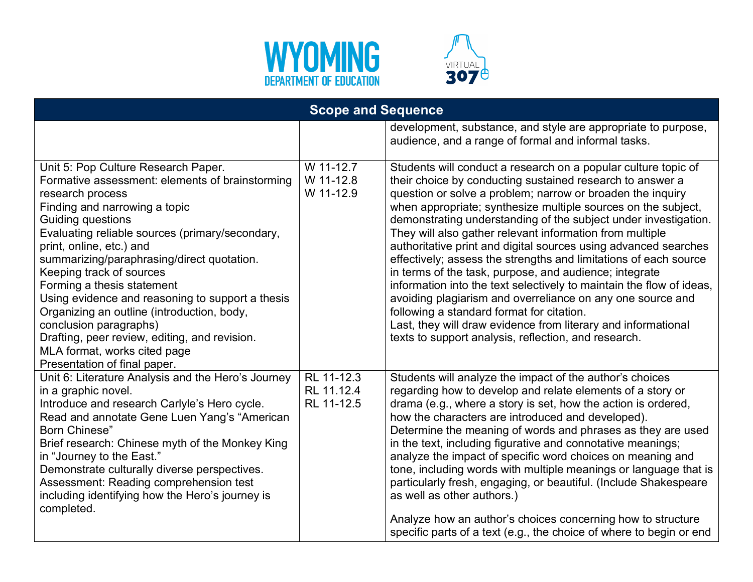



| <b>Scope and Sequence</b>                                                                                                                                                                                                                                                                                                                                                                                                                                                                                                                                                                            |                                        |                                                                                                                                                                                                                                                                                                                                                                                                                                                                                                                                                                                                                                                                                                                                                                                                                                                                                                        |
|------------------------------------------------------------------------------------------------------------------------------------------------------------------------------------------------------------------------------------------------------------------------------------------------------------------------------------------------------------------------------------------------------------------------------------------------------------------------------------------------------------------------------------------------------------------------------------------------------|----------------------------------------|--------------------------------------------------------------------------------------------------------------------------------------------------------------------------------------------------------------------------------------------------------------------------------------------------------------------------------------------------------------------------------------------------------------------------------------------------------------------------------------------------------------------------------------------------------------------------------------------------------------------------------------------------------------------------------------------------------------------------------------------------------------------------------------------------------------------------------------------------------------------------------------------------------|
|                                                                                                                                                                                                                                                                                                                                                                                                                                                                                                                                                                                                      |                                        | development, substance, and style are appropriate to purpose,<br>audience, and a range of formal and informal tasks.                                                                                                                                                                                                                                                                                                                                                                                                                                                                                                                                                                                                                                                                                                                                                                                   |
| Unit 5: Pop Culture Research Paper.<br>Formative assessment: elements of brainstorming<br>research process<br>Finding and narrowing a topic<br>Guiding questions<br>Evaluating reliable sources (primary/secondary,<br>print, online, etc.) and<br>summarizing/paraphrasing/direct quotation.<br>Keeping track of sources<br>Forming a thesis statement<br>Using evidence and reasoning to support a thesis<br>Organizing an outline (introduction, body,<br>conclusion paragraphs)<br>Drafting, peer review, editing, and revision.<br>MLA format, works cited page<br>Presentation of final paper. | W 11-12.7<br>W 11-12.8<br>W 11-12.9    | Students will conduct a research on a popular culture topic of<br>their choice by conducting sustained research to answer a<br>question or solve a problem; narrow or broaden the inquiry<br>when appropriate; synthesize multiple sources on the subject,<br>demonstrating understanding of the subject under investigation.<br>They will also gather relevant information from multiple<br>authoritative print and digital sources using advanced searches<br>effectively; assess the strengths and limitations of each source<br>in terms of the task, purpose, and audience; integrate<br>information into the text selectively to maintain the flow of ideas,<br>avoiding plagiarism and overreliance on any one source and<br>following a standard format for citation.<br>Last, they will draw evidence from literary and informational<br>texts to support analysis, reflection, and research. |
| Unit 6: Literature Analysis and the Hero's Journey<br>in a graphic novel.<br>Introduce and research Carlyle's Hero cycle.<br>Read and annotate Gene Luen Yang's "American<br>Born Chinese"<br>Brief research: Chinese myth of the Monkey King<br>in "Journey to the East."<br>Demonstrate culturally diverse perspectives.<br>Assessment: Reading comprehension test<br>including identifying how the Hero's journey is<br>completed.                                                                                                                                                                | RL 11-12.3<br>RL 11.12.4<br>RL 11-12.5 | Students will analyze the impact of the author's choices<br>regarding how to develop and relate elements of a story or<br>drama (e.g., where a story is set, how the action is ordered,<br>how the characters are introduced and developed).<br>Determine the meaning of words and phrases as they are used<br>in the text, including figurative and connotative meanings;<br>analyze the impact of specific word choices on meaning and<br>tone, including words with multiple meanings or language that is<br>particularly fresh, engaging, or beautiful. (Include Shakespeare<br>as well as other authors.)<br>Analyze how an author's choices concerning how to structure<br>specific parts of a text (e.g., the choice of where to begin or end                                                                                                                                                   |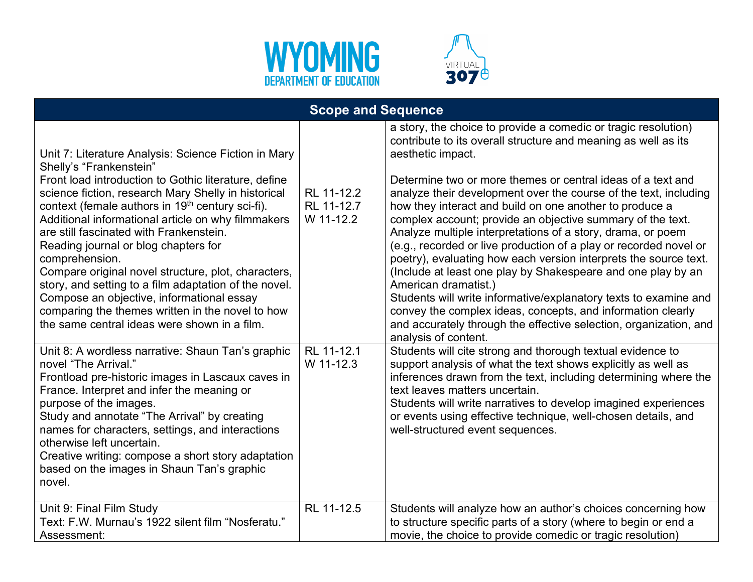



| <b>Scope and Sequence</b>                                                                                                                                                                                                                                                                                                                                                                                                                                                                                                                                                                                                                                                                  |                                       |                                                                                                                                                                                                                                                                                                                                                                                                                                                                                                                                                                                                                                                                                                                                                                                                                                                                                                                                                   |  |
|--------------------------------------------------------------------------------------------------------------------------------------------------------------------------------------------------------------------------------------------------------------------------------------------------------------------------------------------------------------------------------------------------------------------------------------------------------------------------------------------------------------------------------------------------------------------------------------------------------------------------------------------------------------------------------------------|---------------------------------------|---------------------------------------------------------------------------------------------------------------------------------------------------------------------------------------------------------------------------------------------------------------------------------------------------------------------------------------------------------------------------------------------------------------------------------------------------------------------------------------------------------------------------------------------------------------------------------------------------------------------------------------------------------------------------------------------------------------------------------------------------------------------------------------------------------------------------------------------------------------------------------------------------------------------------------------------------|--|
| Unit 7: Literature Analysis: Science Fiction in Mary<br>Shelly's "Frankenstein"<br>Front load introduction to Gothic literature, define<br>science fiction, research Mary Shelly in historical<br>context (female authors in 19 <sup>th</sup> century sci-fi).<br>Additional informational article on why filmmakers<br>are still fascinated with Frankenstein.<br>Reading journal or blog chapters for<br>comprehension.<br>Compare original novel structure, plot, characters,<br>story, and setting to a film adaptation of the novel.<br>Compose an objective, informational essay<br>comparing the themes written in the novel to how<br>the same central ideas were shown in a film. | RL 11-12.2<br>RL 11-12.7<br>W 11-12.2 | a story, the choice to provide a comedic or tragic resolution)<br>contribute to its overall structure and meaning as well as its<br>aesthetic impact.<br>Determine two or more themes or central ideas of a text and<br>analyze their development over the course of the text, including<br>how they interact and build on one another to produce a<br>complex account; provide an objective summary of the text.<br>Analyze multiple interpretations of a story, drama, or poem<br>(e.g., recorded or live production of a play or recorded novel or<br>poetry), evaluating how each version interprets the source text.<br>(Include at least one play by Shakespeare and one play by an<br>American dramatist.)<br>Students will write informative/explanatory texts to examine and<br>convey the complex ideas, concepts, and information clearly<br>and accurately through the effective selection, organization, and<br>analysis of content. |  |
| Unit 8: A wordless narrative: Shaun Tan's graphic<br>novel "The Arrival."<br>Frontload pre-historic images in Lascaux caves in<br>France. Interpret and infer the meaning or<br>purpose of the images.<br>Study and annotate "The Arrival" by creating<br>names for characters, settings, and interactions<br>otherwise left uncertain.<br>Creative writing: compose a short story adaptation<br>based on the images in Shaun Tan's graphic<br>novel.                                                                                                                                                                                                                                      | RL 11-12.1<br>W 11-12.3               | Students will cite strong and thorough textual evidence to<br>support analysis of what the text shows explicitly as well as<br>inferences drawn from the text, including determining where the<br>text leaves matters uncertain.<br>Students will write narratives to develop imagined experiences<br>or events using effective technique, well-chosen details, and<br>well-structured event sequences.                                                                                                                                                                                                                                                                                                                                                                                                                                                                                                                                           |  |
| Unit 9: Final Film Study<br>Text: F.W. Murnau's 1922 silent film "Nosferatu."<br>Assessment:                                                                                                                                                                                                                                                                                                                                                                                                                                                                                                                                                                                               | RL 11-12.5                            | Students will analyze how an author's choices concerning how<br>to structure specific parts of a story (where to begin or end a<br>movie, the choice to provide comedic or tragic resolution)                                                                                                                                                                                                                                                                                                                                                                                                                                                                                                                                                                                                                                                                                                                                                     |  |